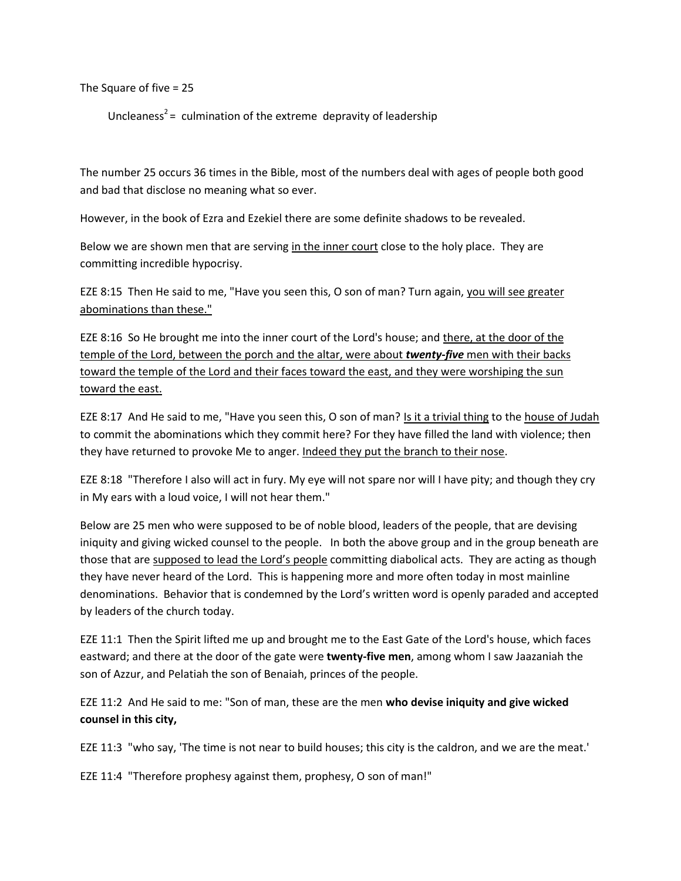The Square of five = 25

Uncleaness<sup>2</sup> = culmination of the extreme depravity of leadership

The number 25 occurs 36 times in the Bible, most of the numbers deal with ages of people both good and bad that disclose no meaning what so ever.

However, in the book of Ezra and Ezekiel there are some definite shadows to be revealed.

Below we are shown men that are serving in the inner court close to the holy place. They are committing incredible hypocrisy.

EZE 8:15 Then He said to me, "Have you seen this, O son of man? Turn again, you will see greater abominations than these."

EZE 8:16 So He brought me into the inner court of the Lord's house; and there, at the door of the temple of the Lord, between the porch and the altar, were about *twenty-five* men with their backs toward the temple of the Lord and their faces toward the east, and they were worshiping the sun toward the east.

EZE 8:17 And He said to me, "Have you seen this, O son of man? Is it a trivial thing to the house of Judah to commit the abominations which they commit here? For they have filled the land with violence; then they have returned to provoke Me to anger. Indeed they put the branch to their nose.

EZE 8:18 "Therefore I also will act in fury. My eye will not spare nor will I have pity; and though they cry in My ears with a loud voice, I will not hear them."

Below are 25 men who were supposed to be of noble blood, leaders of the people, that are devising iniquity and giving wicked counsel to the people. In both the above group and in the group beneath are those that are supposed to lead the Lord's people committing diabolical acts. They are acting as though they have never heard of the Lord. This is happening more and more often today in most mainline denominations. Behavior that is condemned by the Lord's written word is openly paraded and accepted by leaders of the church today.

EZE 11:1 Then the Spirit lifted me up and brought me to the East Gate of the Lord's house, which faces eastward; and there at the door of the gate were **twenty-five men**, among whom I saw Jaazaniah the son of Azzur, and Pelatiah the son of Benaiah, princes of the people.

EZE 11:2 And He said to me: "Son of man, these are the men **who devise iniquity and give wicked counsel in this city,**

EZE 11:3 "who say, 'The time is not near to build houses; this city is the caldron, and we are the meat.'

EZE 11:4 "Therefore prophesy against them, prophesy, O son of man!"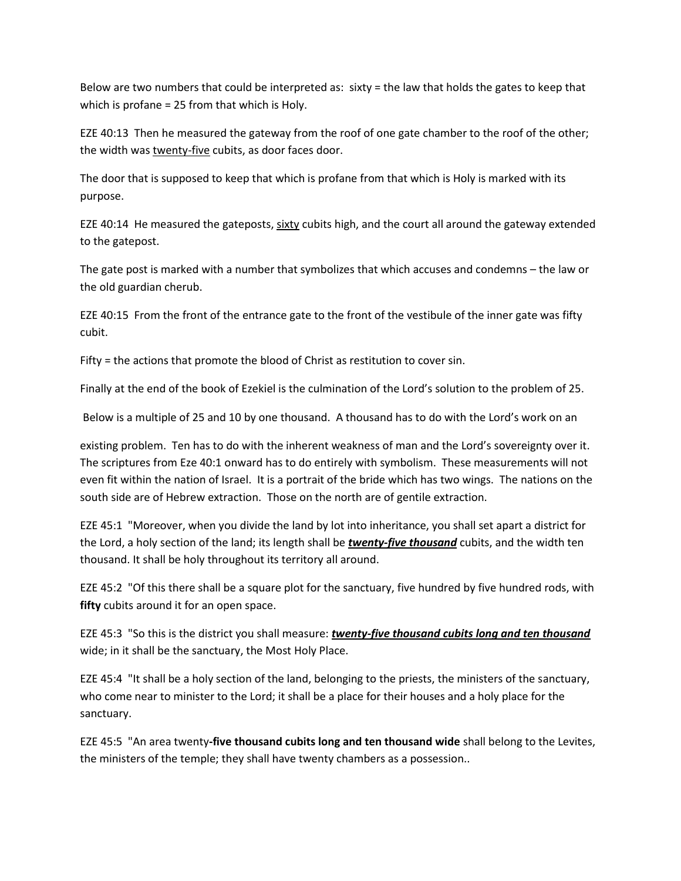Below are two numbers that could be interpreted as: sixty = the law that holds the gates to keep that which is profane = 25 from that which is Holy.

EZE 40:13 Then he measured the gateway from the roof of one gate chamber to the roof of the other; the width was twenty-five cubits, as door faces door.

The door that is supposed to keep that which is profane from that which is Holy is marked with its purpose.

EZE 40:14 He measured the gateposts, sixty cubits high, and the court all around the gateway extended to the gatepost.

The gate post is marked with a number that symbolizes that which accuses and condemns – the law or the old guardian cherub.

EZE 40:15 From the front of the entrance gate to the front of the vestibule of the inner gate was fifty cubit.

Fifty = the actions that promote the blood of Christ as restitution to cover sin.

Finally at the end of the book of Ezekiel is the culmination of the Lord's solution to the problem of 25.

Below is a multiple of 25 and 10 by one thousand. A thousand has to do with the Lord's work on an

existing problem. Ten has to do with the inherent weakness of man and the Lord's sovereignty over it. The scriptures from Eze 40:1 onward has to do entirely with symbolism. These measurements will not even fit within the nation of Israel. It is a portrait of the bride which has two wings. The nations on the south side are of Hebrew extraction. Those on the north are of gentile extraction.

EZE 45:1 "Moreover, when you divide the land by lot into inheritance, you shall set apart a district for the Lord, a holy section of the land; its length shall be *twenty-five thousand* cubits, and the width ten thousand. It shall be holy throughout its territory all around.

EZE 45:2 "Of this there shall be a square plot for the sanctuary, five hundred by five hundred rods, with **fifty** cubits around it for an open space.

EZE 45:3 "So this is the district you shall measure: *twenty-five thousand cubits long and ten thousand* wide; in it shall be the sanctuary, the Most Holy Place.

EZE 45:4 "It shall be a holy section of the land, belonging to the priests, the ministers of the sanctuary, who come near to minister to the Lord; it shall be a place for their houses and a holy place for the sanctuary.

EZE 45:5 "An area twenty**-five thousand cubits long and ten thousand wide** shall belong to the Levites, the ministers of the temple; they shall have twenty chambers as a possession..